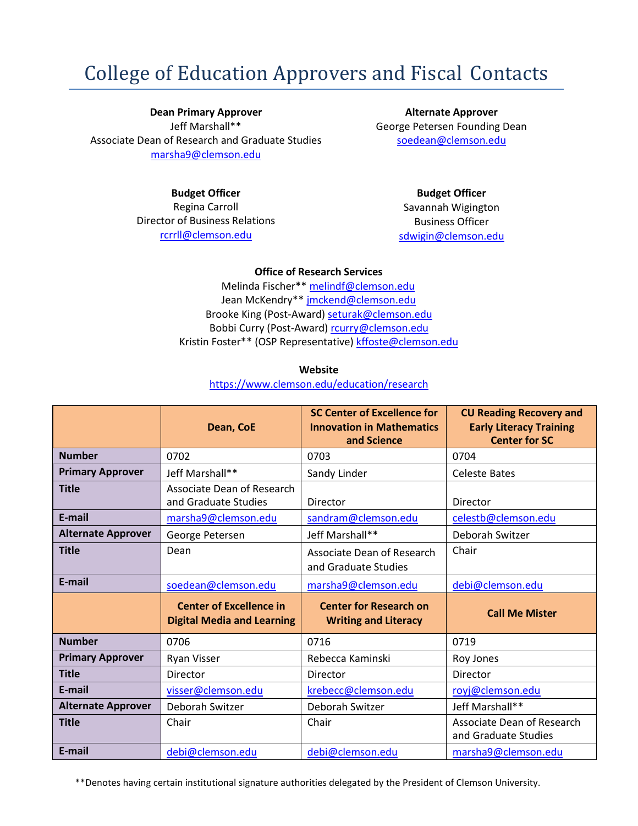## College of Education Approvers and Fiscal Contacts

**Dean Primary Approver** Jeff Marshall\*\* Associate Dean of Research and Graduate Studies [marsha9@clemson.edu](mailto:marsha9@clemson.edu)

**Alternate Approver** George Petersen Founding Dean [soedean@clemson.edu](mailto:soedean@clemson.edu)

## **Budget Officer**

Regina Carroll Director of Business Relations [rcrrll@clemson.edu](mailto:rcrrll@clemson.edu)

**Budget Officer** Savannah Wigington Business Officer [sdwigin@clemson.edu](mailto:sdwigin@clemson.edu)

## **Office of Research Services**

Melinda Fischer\*\* [melindf@clemson.edu](mailto:melindf@clemson.edu) Jean McKendry\*\* [jmckend@clemson.edu](mailto:jmckend@clemson.edu) Brooke King (Post-Award[\) seturak@clemson.edu](mailto:seturak@clemson.edu) Bobbi Curry (Post-Award) [rcurry@clemson.edu](mailto:rcurry@clemson.edu) Kristin Foster\*\* (OSP Representative) [kffoste@clemson.edu](mailto:kffoste@clemson.edu)

**Website**

<https://www.clemson.edu/education/research>

|                           | Dean, CoE                                                           | <b>SC Center of Excellence for</b><br><b>Innovation in Mathematics</b><br>and Science | <b>CU Reading Recovery and</b><br><b>Early Literacy Training</b><br><b>Center for SC</b> |
|---------------------------|---------------------------------------------------------------------|---------------------------------------------------------------------------------------|------------------------------------------------------------------------------------------|
| <b>Number</b>             | 0702                                                                | 0703                                                                                  | 0704                                                                                     |
| <b>Primary Approver</b>   | Jeff Marshall**                                                     | Sandy Linder                                                                          | <b>Celeste Bates</b>                                                                     |
| <b>Title</b>              | Associate Dean of Research<br>and Graduate Studies                  | Director                                                                              | Director                                                                                 |
| E-mail                    | marsha9@clemson.edu                                                 | sandram@clemson.edu                                                                   | celestb@clemson.edu                                                                      |
| <b>Alternate Approver</b> | George Petersen                                                     | Jeff Marshall**                                                                       | Deborah Switzer                                                                          |
| <b>Title</b>              | Dean                                                                | Associate Dean of Research<br>and Graduate Studies                                    | Chair                                                                                    |
| E-mail                    | soedean@clemson.edu                                                 | marsha9@clemson.edu                                                                   | debi@clemson.edu                                                                         |
|                           | <b>Center of Excellence in</b><br><b>Digital Media and Learning</b> | <b>Center for Research on</b><br><b>Writing and Literacy</b>                          | <b>Call Me Mister</b>                                                                    |
| <b>Number</b>             | 0706                                                                | 0716                                                                                  | 0719                                                                                     |
| <b>Primary Approver</b>   | Ryan Visser                                                         | Rebecca Kaminski                                                                      | Roy Jones                                                                                |
| <b>Title</b>              | Director                                                            | Director                                                                              | Director                                                                                 |
| E-mail                    | visser@clemson.edu                                                  | krebecc@clemson.edu                                                                   | royj@clemson.edu                                                                         |
| <b>Alternate Approver</b> | Deborah Switzer                                                     | Deborah Switzer                                                                       | Jeff Marshall**                                                                          |
| <b>Title</b>              | Chair                                                               | Chair                                                                                 | Associate Dean of Research<br>and Graduate Studies                                       |
| E-mail                    | debi@clemson.edu                                                    | debi@clemson.edu                                                                      | marsha9@clemson.edu                                                                      |

\*\*Denotes having certain institutional signature authorities delegated by the President of Clemson University.